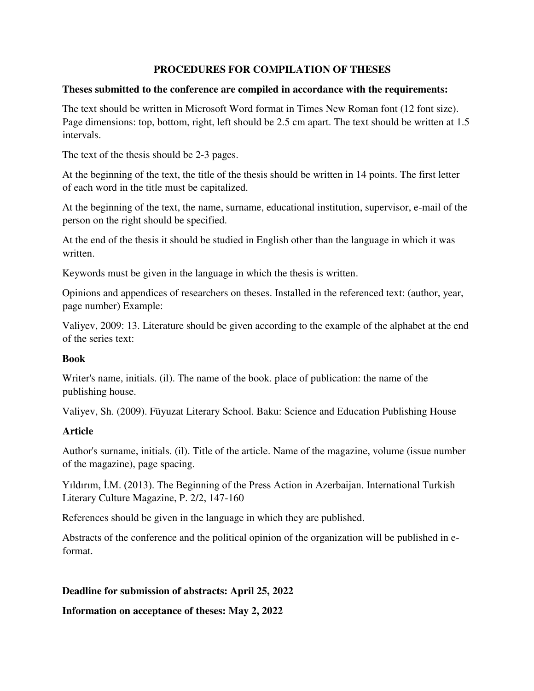### **PROCEDURES FOR COMPILATION OF THESES**

#### **Theses submitted to the conference are compiled in accordance with the requirements:**

The text should be written in Microsoft Word format in Times New Roman font (12 font size). Page dimensions: top, bottom, right, left should be 2.5 cm apart. The text should be written at 1.5 intervals.

The text of the thesis should be 2-3 pages.

At the beginning of the text, the title of the thesis should be written in 14 points. The first letter of each word in the title must be capitalized.

At the beginning of the text, the name, surname, educational institution, supervisor, e-mail of the person on the right should be specified.

At the end of the thesis it should be studied in English other than the language in which it was written.

Keywords must be given in the language in which the thesis is written.

Opinions and appendices of researchers on theses. Installed in the referenced text: (author, year, page number) Example:

Valiyev, 2009: 13. Literature should be given according to the example of the alphabet at the end of the series text:

#### **Book**

Writer's name, initials. (il). The name of the book. place of publication: the name of the publishing house.

Valiyev, Sh. (2009). Füyuzat Literary School. Baku: Science and Education Publishing House

# **Article**

Author's surname, initials. (il). Title of the article. Name of the magazine, volume (issue number of the magazine), page spacing.

Yıldırım, İ.M. (2013). The Beginning of the Press Action in Azerbaijan. International Turkish Literary Culture Magazine, P. 2/2, 147-160

References should be given in the language in which they are published.

Abstracts of the conference and the political opinion of the organization will be published in eformat.

# **Deadline for submission of abstracts: April 25, 2022**

**Information on acceptance of theses: May 2, 2022**